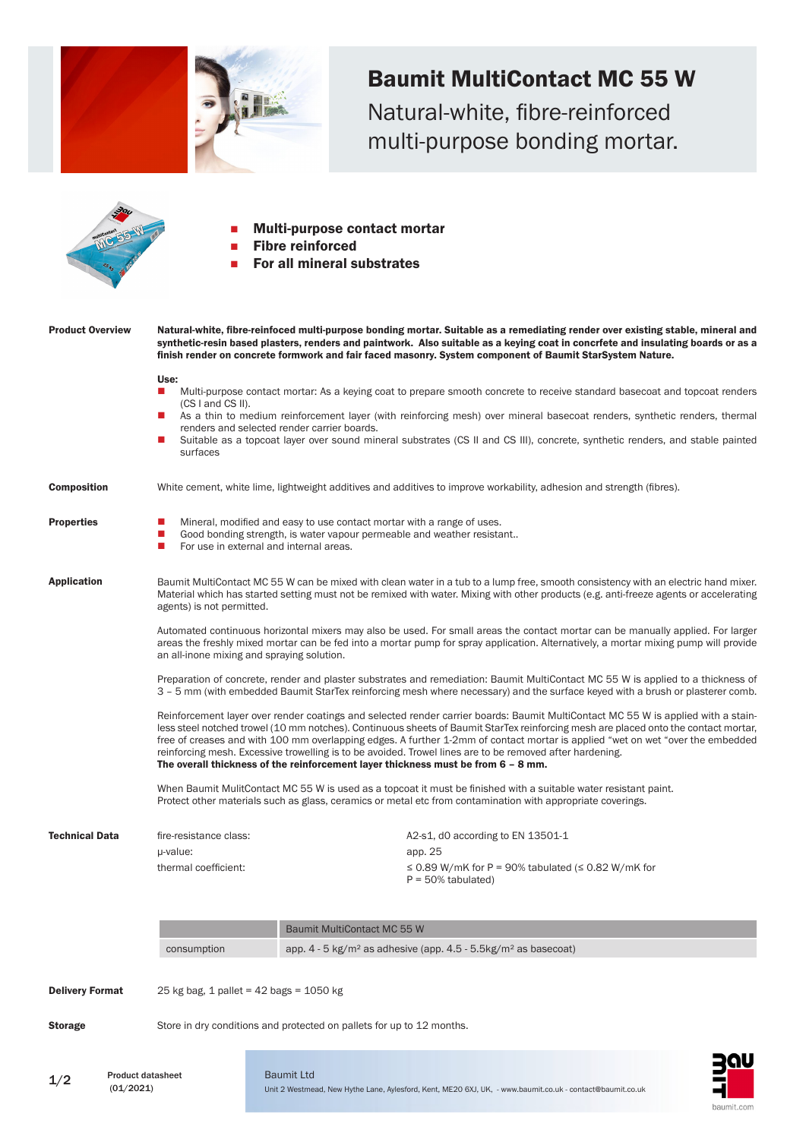

(01/2021)

Unit 2 Westmead, New Hythe Lane, Aylesford, Kent, ME20 6XJ, UK, - www.baumit.co.uk - contact@baumit.co.uk